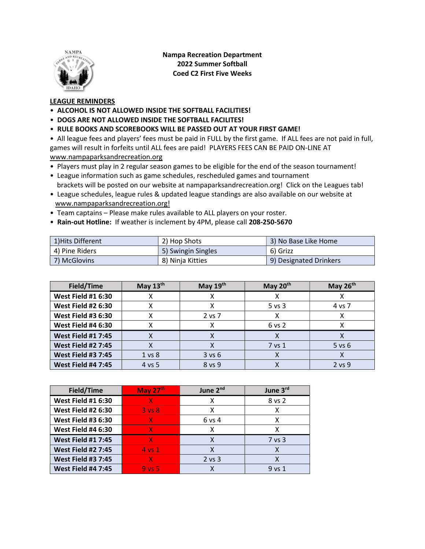

Nampa Recreation Department 2022 Summer Softball Coed C2 First Five Weeks

## LEAGUE REMINDERS

- ALCOHOL IS NOT ALLOWED INSIDE THE SOFTBALL FACILITIES!
- DOGS ARE NOT ALLOWED INSIDE THE SOFTBALL FACILITES!
- RULE BOOKS AND SCOREBOOKS WILL BE PASSED OUT AT YOUR FIRST GAME!

• All league fees and players' fees must be paid in FULL by the first game. If ALL fees are not paid in full, games will result in forfeits until ALL fees are paid! PLAYERS FEES CAN BE PAID ON-LINE AT www.nampaparksandrecreation.org

- Players must play in 2 regular season games to be eligible for the end of the season tournament!
- League information such as game schedules, rescheduled games and tournament brackets will be posted on our website at nampaparksandrecreation.org! Click on the Leagues tab!
- League schedules, league rules & updated league standings are also available on our website at www.nampaparksandrecreation.org!
- Team captains Please make rules available to ALL players on your roster.
- Rain-out Hotline: If weather is inclement by 4PM, please call 208-250-5670

| 1) Hits Different | 2) Hop Shots       | 3) No Base Like Home   |
|-------------------|--------------------|------------------------|
| 4) Pine Riders    | 5) Swingin Singles | 6) Grizz               |
| 7) McGlovins      | 8) Ninja Kitties   | 9) Designated Drinkers |

| Field/Time                | May $13th$        | May $19th$ | May 20th   | May $26th$ |
|---------------------------|-------------------|------------|------------|------------|
| <b>West Field #1 6:30</b> |                   |            |            |            |
| <b>West Field #2 6:30</b> |                   |            | $5$ vs $3$ | 4 vs 7     |
| <b>West Field #3 6:30</b> |                   | $2$ vs $7$ |            |            |
| <b>West Field #4 6:30</b> |                   |            | $6$ vs $2$ |            |
| <b>West Field #1 7:45</b> |                   |            |            |            |
| <b>West Field #2 7:45</b> |                   |            | 7 vs 1     | $5$ vs $6$ |
| <b>West Field #3 7:45</b> | 1 <sub>vs</sub> 8 | 3 v s 6    | χ          |            |
| <b>West Field #4 7:45</b> | 4 vs 5            | 8 vs 9     |            | 2 vs 9     |

| Field/Time                | May $27th$        | June 2 <sup>nd</sup> | June 3rd |
|---------------------------|-------------------|----------------------|----------|
| <b>West Field #1 6:30</b> | X.                | χ                    | 8 vs 2   |
| <b>West Field #2 6:30</b> | $3 \text{ vs } 8$ | χ                    |          |
| <b>West Field #3 6:30</b> | X.                | 6 vs 4               | х        |
| <b>West Field #4 6:30</b> | X.                | x                    | x        |
| <b>West Field #1 7:45</b> | 77                | х                    | 7 vs 3   |
| <b>West Field #2 7:45</b> | $4$ vs $1$        | Χ                    |          |
| <b>West Field #3 7:45</b> | x                 | $2$ vs $3$           |          |
| <b>West Field #4 7:45</b> | $9$ vs $5$        |                      | 9 vs 1   |